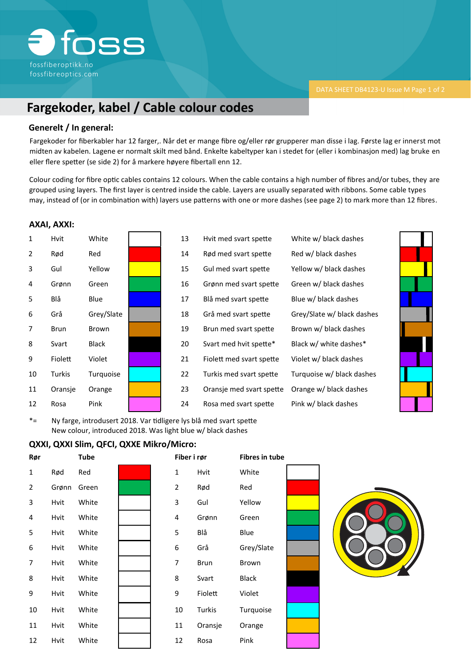

# **Fargekoder, kabel / Cable colour codes**

### **Generelt / In general:**

Fargekoder for fiberkabler har 12 farger,. Når det er mange fibre og/eller rør grupperer man disse i lag. Første lag er innerst mot midten av kabelen. Lagene er normalt skilt med bånd. Enkelte kabeltyper kan i stedet for (eller i kombinasjon med) lag bruke en eller flere spetter (se side 2) for å markere høyere fibertall enn 12.

Colour coding for fibre optic cables contains 12 colours. When the cable contains a high number of fibres and/or tubes, they are grouped using layers. The first layer is centred inside the cable. Layers are usually separated with ribbons. Some cable types may, instead of (or in combination with) layers use patterns with one or more dashes (see page 2) to mark more than 12 fibres.

#### **AXAI, AXXI:**



| Hvit med svart spette    |
|--------------------------|
| Rød med svart spette     |
| Gul med svart spette     |
| Grønn med svart spette   |
| Blå med svart spette     |
| Grå med svart spette     |
| Brun med svart spette    |
| Svart med hvit spette*   |
| Fiolett med svart spette |
| Turkis med svart spette  |
| Oransje med svart spette |
| Rosa med svart spette    |



\*= Ny farge, introdusert 2018. Var tidligere lys blå med svart spette New colour, introduced 2018. Was light blue w/ black dashes

### **QXXI, QXXI Slim, QFCI, QXXE Mikro/Micro:**

| Rør            |       | Tube  |  | Fiber i rør    |             | <b>Fibres in tube</b> |  |
|----------------|-------|-------|--|----------------|-------------|-----------------------|--|
| $\mathbf{1}$   | Rød   | Red   |  | $\mathbf 1$    | Hvit        | White                 |  |
| $\overline{2}$ | Grønn | Green |  | $\overline{2}$ | Rød         | Red                   |  |
| 3              | Hvit  | White |  | 3              | Gul         | Yellow                |  |
| 4              | Hvit  | White |  | 4              | Grønn       | Green                 |  |
| 5              | Hvit  | White |  | 5              | Blå         | Blue                  |  |
| 6              | Hvit  | White |  | 6              | Grå         | Grey/Slate            |  |
| $\overline{7}$ | Hvit  | White |  | $\overline{7}$ | <b>Brun</b> | Brown                 |  |
| 8              | Hvit  | White |  | 8              | Svart       | <b>Black</b>          |  |
| 9              | Hvit  | White |  | 9              | Fiolett     | Violet                |  |
| 10             | Hvit  | White |  | 10             | Turkis      | Turquoise             |  |
| 11             | Hvit  | White |  | 11             | Oransje     | Orange                |  |
| 12             | Hvit  | White |  | 12             | Rosa        | Pink                  |  |